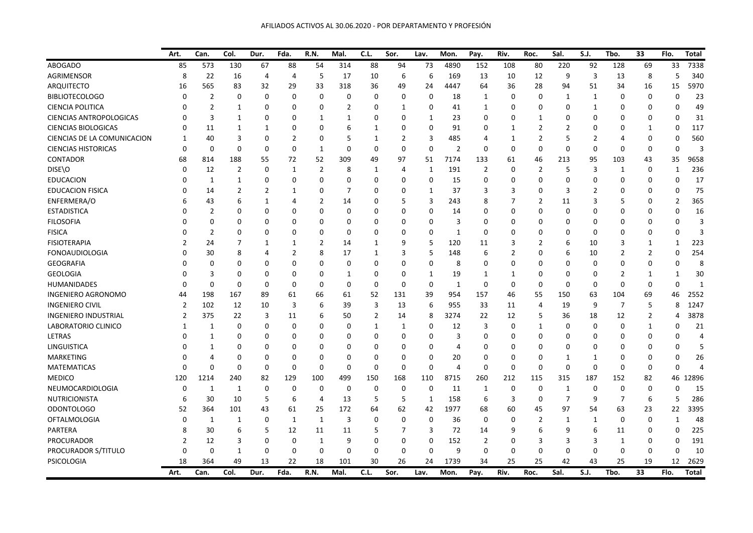|                                | Art.     | Can.           | Col.           | Dur.           | Fda.           | R.N.           | Mal.           | C.L.         | Sor.           | Lav.           | Mon.           | Pay.           | Riv.           | Roc.           | Sal.           | S.J.           | Tbo.           | 33             | Flo.           | Total          |
|--------------------------------|----------|----------------|----------------|----------------|----------------|----------------|----------------|--------------|----------------|----------------|----------------|----------------|----------------|----------------|----------------|----------------|----------------|----------------|----------------|----------------|
| <b>ABOGADO</b>                 | 85       | 573            | 130            | 67             | 88             | 54             | 314            | 88           | 94             | 73             | 4890           | 152            | 108            | 80             | 220            | 92             | 128            | 69             | 33             | 7338           |
| <b>AGRIMENSOR</b>              | 8        | 22             | 16             | 4              | $\overline{4}$ | 5              | 17             | 10           | 6              | 6              | 169            | 13             | 10             | 12             | 9              | 3              | 13             | 8              | 5              | 340            |
| <b>ARQUITECTO</b>              | 16       | 565            | 83             | 32             | 29             | 33             | 318            | 36           | 49             | 24             | 4447           | 64             | 36             | 28             | 94             | 51             | 34             | 16             | 15             | 5970           |
| <b>BIBLIOTECOLOGO</b>          | $\Omega$ | $\overline{2}$ | 0              | $\Omega$       | $\mathbf 0$    | 0              | 0              | 0            | 0              | 0              | 18             | 1              | 0              | $\mathbf 0$    | 1              | 1              | 0              | 0              | 0              | 23             |
| <b>CIENCIA POLITICA</b>        | O        | $\overline{2}$ | $\mathbf{1}$   | $\Omega$       | 0              | 0              | $\overline{2}$ | 0            | $\mathbf{1}$   | 0              | 41             | $\mathbf{1}$   | 0              | $\Omega$       | $\mathbf 0$    | 1              | n              | 0              | 0              | 49             |
| <b>CIENCIAS ANTROPOLOGICAS</b> | O        | 3              | $\mathbf{1}$   | $\Omega$       | $\Omega$       | 1              | 1              | 0            | $\Omega$       | $\mathbf{1}$   | 23             | 0              | 0              | 1              | $\Omega$       | $\Omega$       |                | 0              | 0              | 31             |
| <b>CIENCIAS BIOLOGICAS</b>     | O        | 11             | $\mathbf{1}$   | 1              | $\Omega$       | $\Omega$       | 6              | $\mathbf{1}$ | 0              | $\mathbf 0$    | 91             | 0              | $\mathbf{1}$   | $\overline{2}$ | $\overline{2}$ | 0              |                | 1              | 0              | 117            |
| CIENCIAS DE LA COMUNICACION    | 1        | 40             | 3              | $\Omega$       | $\overline{2}$ | 0              | 5              | $\mathbf{1}$ | $\overline{2}$ | $\overline{3}$ | 485            | $\overline{4}$ | $\mathbf{1}$   | $\overline{2}$ | 5              | $\overline{2}$ |                | 0              | $\Omega$       | 560            |
| <b>CIENCIAS HISTORICAS</b>     | $\Omega$ | 0              | 0              | 0              | $\mathbf 0$    | 1              | $\Omega$       | 0            | 0              | $\mathbf 0$    | $\overline{2}$ | 0              | 0              | $\mathbf 0$    | $\mathbf 0$    | 0              | $\Omega$       | 0              | 0              | 3              |
| <b>CONTADOR</b>                | 68       | 814            | 188            | 55             | 72             | 52             | 309            | 49           | 97             | 51             | 7174           | 133            | 61             | 46             | 213            | 95             | 103            | 43             | 35             | 9658           |
| DISE\O                         | $\Omega$ | 12             | 2              | $\Omega$       | 1              | 2              | 8              | 1            | 4              | $\mathbf{1}$   | 191            | 2              | 0              | $\overline{2}$ | 5              | 3              | 1              | 0              | $\mathbf{1}$   | 236            |
| <b>EDUCACION</b>               |          | 1              | 1              | 0              | $\mathbf 0$    | 0              | $\Omega$       | 0            | 0              | 0              | 15             | $\Omega$       | 0              | $\Omega$       | $\mathbf 0$    | 0              | $\Omega$       | 0              | 0              | 17             |
| <b>EDUCACION FISICA</b>        |          | 14             | $\overline{2}$ | $\overline{2}$ | 1              | 0              | 7              | 0            | 0              | 1              | 37             | 3              | 3              | $\Omega$       | 3              | 2              | <sup>0</sup>   | 0              | 0              | 75             |
| ENFERMERA/O                    |          | 43             | 6              | $\mathbf{1}$   | $\overline{4}$ | $\overline{2}$ | 14             | 0            | 5              | 3              | 243            | 8              | 7              | $\overline{2}$ | 11             | 3              | 5              | 0              | $\overline{2}$ | 365            |
| <b>ESTADISTICA</b>             |          | $\overline{2}$ | 0              | $\Omega$       | $\Omega$       | 0              | 0              | 0            | $\Omega$       | 0              | 14             | 0              | 0              | $\Omega$       | $\mathbf 0$    | $\Omega$       |                | 0              | 0              | 16             |
| <b>FILOSOFIA</b>               |          | $\Omega$       | 0              | O              | $\Omega$       | $\Omega$       | $\Omega$       | O            | $\Omega$       | $\Omega$       | 3              | 0              | 0              | $\Omega$       | $\mathbf 0$    | 0              |                | O              | O              | 3              |
| <b>FISICA</b>                  |          | $\overline{2}$ | 0              | 0              | $\Omega$       | 0              | 0              | 0            | $\Omega$       | 0              | 1              | 0              | 0              | $\Omega$       | 0              | 0              | n              | 0              | 0              | 3              |
| <b>FISIOTERAPIA</b>            |          | 24             | 7              | 1              | 1              | $\overline{2}$ | 14             | $\mathbf{1}$ | 9              | 5              | 120            | 11             | 3              | $\overline{2}$ | 6              | 10             | 3              | 1              | 1              | 223            |
| <b>FONOAUDIOLOGIA</b>          |          | 30             | 8              | 4              | $\overline{2}$ | 8              | 17             | $\mathbf{1}$ | 3              | 5              | 148            | 6              | $\overline{2}$ | $\Omega$       | 6              | 10             | $\overline{2}$ | $\overline{2}$ | $\Omega$       | 254            |
| <b>GEOGRAFIA</b>               |          | 0              | 0              | $\Omega$       | $\Omega$       | 0              | 0              | 0            | $\mathbf 0$    | 0              | 8              | 0              | 0              | $\Omega$       | $\mathbf 0$    | 0              | n              | 0              | $\Omega$       | 8              |
| <b>GEOLOGIA</b>                |          | 3              | 0              | $\Omega$       | $\Omega$       | 0              | 1              | $\Omega$     | $\Omega$       | 1              | 19             | 1              | $\mathbf{1}$   | $\Omega$       | $\mathbf 0$    | 0              | 2              | 1              | 1              | 30             |
| HUMANIDADES                    | $\Omega$ | $\Omega$       | $\Omega$       | $\Omega$       | 0              | 0              | 0              | $\Omega$     | $\mathbf 0$    | $\mathbf 0$    | $\mathbf{1}$   | $\Omega$       | 0              | $\mathbf 0$    | $\mathbf 0$    | 0              | $\Omega$       | 0              | $\Omega$       | $\overline{1}$ |
| <b>INGENIERO AGRONOMO</b>      | 44       | 198            | 167            | 89             | 61             | 66             | 61             | 52           | 131            | 39             | 954            | 157            | 46             | 55             | 150            | 63             | 104            | 69             | 46             | 2552           |
| <b>INGENIERO CIVIL</b>         | 2        | 102            | 12             | 10             | $\overline{3}$ | 6              | 39             | 3            | 13             | 6              | 955            | 33             | 11             | 4              | 19             | 9              | 7              | 5              | 8              | 1247           |
| <b>INGENIERO INDUSTRIAL</b>    | 2        | 375            | 22             | 3              | 11             | 6              | 50             | 2            | 14             | 8              | 3274           | 22             | 12             | 5              | 36             | 18             | 12             | 2              | 4              | 3878           |
| LABORATORIO CLINICO            | 1        | 1              | 0              | $\Omega$       | 0              | 0              | 0              | 1            | 1              | 0              | 12             | 3              | 0              | 1              | 0              | 0              | $\Omega$       | 1              | 0              | 21             |
| LETRAS                         |          | $\mathbf{1}$   | 0              | 0              | $\Omega$       | O              | 0              | 0            | $\Omega$       | 0              | 3              | 0              | 0              | $\Omega$       | 0              | 0              |                | 0              | 0              | $\overline{4}$ |
| LINGUISTICA                    |          | 1              | 0              | 0              | $\Omega$       | 0              | O              | 0            | 0              | 0              | 4              | 0              | 0              | $\Omega$       | 0              | 0              | <sup>0</sup>   | 0              | 0              | 5              |
| <b>MARKETING</b>               |          | 4              | 0              | $\Omega$       | 0              | 0              | $\Omega$       | 0            | 0              | 0              | 20             | $\Omega$       | 0              | $\Omega$       | 1              | $\mathbf{1}$   | <sup>0</sup>   | 0              | 0              | 26             |
| <b>MATEMATICAS</b>             | $\Omega$ | 0              | 0              | $\Omega$       | 0              | 0              | 0              | 0            | $\Omega$       | 0              | 4              | 0              | 0              | 0              | $\mathbf 0$    | 0              | $\Omega$       | 0              | 0              | $\overline{4}$ |
| <b>MEDICO</b>                  | 120      | 1214           | 240            | 82             | 129            | 100            | 499            | 150          | 168            | 110            | 8715           | 260            | 212            | 115            | 315            | 187            | 152            | 82             | 46             | 12896          |
| NEUMOCARDIOLOGIA               | $\Omega$ | $\mathbf{1}$   | $\mathbf{1}$   | $\Omega$       | $\mathbf 0$    | 0              | $\mathbf 0$    | 0            | $\mathbf 0$    | $\mathbf 0$    | 11             | 1              | $\Omega$       | $\mathbf{0}$   | 1              | 0              | $\Omega$       | $\Omega$       | $\mathbf{0}$   | 15             |
| <b>NUTRICIONISTA</b>           | 6        | 30             | 10             | 5              | 6              | 4              | 13             | 5            | 5              | $\mathbf{1}$   | 158            | 6              | 3              | 0              | $\overline{7}$ | 9              | 7              | 6              | 5              | 286            |
| <b>ODONTOLOGO</b>              | 52       | 364            | 101            | 43             | 61             | 25             | 172            | 64           | 62             | 42             | 1977           | 68             | 60             | 45             | 97             | 54             | 63             | 23             | 22             | 3395           |
| <b>OFTALMOLOGIA</b>            | $\Omega$ | $1\,$          | $\mathbf{1}$   | $\Omega$       | $\mathbf{1}$   | $\mathbf{1}$   | 3              | 0            | $\Omega$       | $\Omega$       | 36             | 0              | $\Omega$       | $\overline{2}$ | $\mathbf{1}$   | $\mathbf{1}$   | $\Omega$       | 0              | 1              | 48             |
| PARTERA                        |          | 30             | 6              | 5              | 12             | 11             | 11             | 5            | 7              | 3              | 72             | 14             | 9              | 6              | 9              | 6              | 11             | 0              | $\Omega$       | 225            |
| PROCURADOR                     |          | 12             | 3              | 0              | $\mathbf 0$    | 1              | 9              | 0            | 0              | 0              | 152            | 2              | 0              | 3              | 3              | 3              | 1              | 0              | 0              | 191            |
| PROCURADOR S/TITULO            | $\Omega$ | 0              | $\mathbf{1}$   | $\Omega$       | 0              | 0              | $\Omega$       | 0            | $\Omega$       | 0              | 9              | 0              | 0              | 0              | 0              | 0              | 0              | 0              | 0              | 10             |
| PSICOLOGIA                     | 18       | 364            | 49             | 13             | 22             | 18             | 101            | 30           | 26             | 24             | 1739           | 34             | 25             | 25             | 42             | 43             | 25             | 19             | 12             | 2629           |
|                                | Art.     | Can.           | Col.           | Dur.           | Fda.           | <b>R.N.</b>    | Mal.           | C.L.         | Sor.           | Lav.           | Mon.           | Pay.           | Riv.           | Roc.           | Sal.           | S.J.           | Tbo.           | 33             | Flo.           | <b>Total</b>   |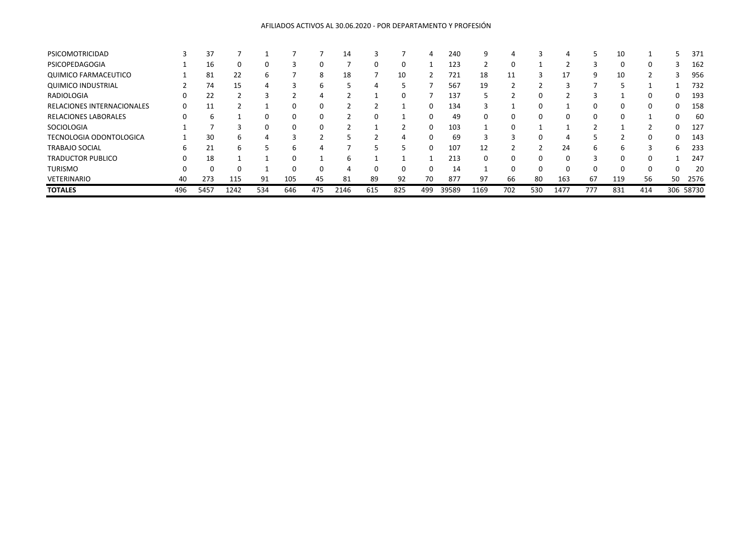## AFILIADOS ACTIVOS AL 30.06.2020 - POR DEPARTAMENTO Y PROFESIÓN

| PSICOMOTRICIDAD                |     | 37   |      |     |     |     | 14   |     |     |     | 240   | 9        |     |     |      |     | 10       |     |    | 371       |
|--------------------------------|-----|------|------|-----|-----|-----|------|-----|-----|-----|-------|----------|-----|-----|------|-----|----------|-----|----|-----------|
| PSICOPEDAGOGIA                 |     | 16   | 0    | 0   | э   |     |      | O   | 0   |     | 123   |          |     |     |      |     | $\Omega$ | O   |    | 162       |
| <b>QUIMICO FARMACEUTICO</b>    |     | 81   | 22   | b   |     | 8   | 18   |     | 10  |     | 721   | 18       | 11  |     | 17   | 9   | 10       |     |    | 956       |
| <b>QUIMICO INDUSTRIAL</b>      |     | 74   | 15   | 4   | 3   | h   |      | 4   | 5   |     | 567   | 19       |     |     |      |     |          |     |    | 732       |
| RADIOLOGIA                     |     | 22   |      |     |     | 4   |      |     | 0   |     | 137   |          |     | 0   |      |     |          | 0   |    | 193       |
| RELACIONES INTERNACIONALES     |     | 11   |      |     |     |     |      |     |     |     | 134   |          |     | 0   |      |     |          | 0   |    | 158       |
| <b>RELACIONES LABORALES</b>    |     |      |      | 0   | 0   | 0   |      | 0   |     | O   | 49    | 0        | 0   | 0   |      | 0   | $\Omega$ |     |    | 60        |
| SOCIOLOGIA                     |     |      |      | 0   | 0   |     |      |     |     | 0   | 103   |          |     |     |      |     |          |     |    | 127       |
| <b>TECNOLOGIA ODONTOLOGICA</b> |     | 30   | 6    |     |     |     |      |     | 4   |     | 69    |          |     | 0   |      |     |          | 0   |    | 143       |
| <b>TRABAJO SOCIAL</b>          | 6   | 21   | h    |     | b   |     |      |     | 5   | O   | 107   | 12       |     |     | 24   | 6   | h        |     | 6  | 233       |
| <b>TRADUCTOR PUBLICO</b>       |     | 18   |      |     | 0   |     | h    |     |     |     | 213   | $\Omega$ |     | 0   |      |     | $\Omega$ | 0   |    | 247       |
| <b>TURISMO</b>                 |     |      |      |     |     |     |      |     | 0   |     | 14    |          |     | 0   |      |     |          | 0   |    | 20        |
| <b>VETERINARIO</b>             | 40  | 273  | 115  | 91  | 105 | 45  | 81   | 89  | 92  | 70  | 877   | 97       | 66  | 80  | 163  | 67  | 119      | 56  | 50 | 2576      |
| <b>TOTALES</b>                 | 496 | 5457 | 1242 | 534 | 646 | 475 | 2146 | 615 | 825 | 499 | 39589 | 1169     | 702 | 530 | 1477 | 777 | 831      | 414 |    | 306 58730 |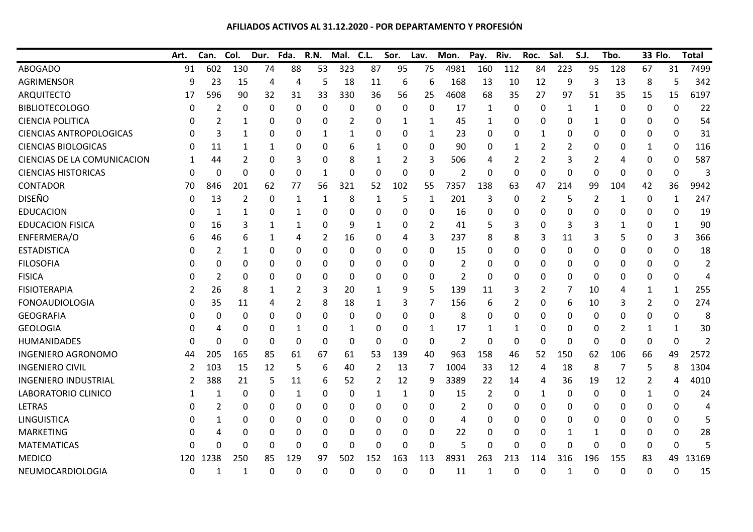## **AFILIADOS ACTIVOS AL 31.12.2020 - POR DEPARTAMENTO Y PROFESIÓN**

|                                | Art. | Can.        | Col. | Dur.         | Fda.        | <b>R.N.</b> | Mal.     | C.L.         | Sor.     | Lav.        | Mon.           | Pay.           | Riv. | Roc. | Sal.             | S.J.           | Tbo.         | 33 Flo.  |                  | <b>Total</b>   |
|--------------------------------|------|-------------|------|--------------|-------------|-------------|----------|--------------|----------|-------------|----------------|----------------|------|------|------------------|----------------|--------------|----------|------------------|----------------|
| <b>ABOGADO</b>                 | 91   | 602         | 130  | 74           | 88          | 53          | 323      | 87           | 95       | 75          | 4981           | 160            | 112  | 84   | 223              | 95             | 128          | 67       | 31               | 7499           |
| <b>AGRIMENSOR</b>              | 9    | 23          | 15   | 4            | 4           | 5           | 18       | 11           | 6        | 6           | 168            | 13             | 10   | 12   | 9                | 3              | 13           | 8        | 5                | 342            |
| <b>ARQUITECTO</b>              | 17   | 596         | 90   | 32           | 31          | 33          | 330      | 36           | 56       | 25          | 4608           | 68             | 35   | 27   | 97               | 51             | 35           | 15       | 15               | 6197           |
| <b>BIBLIOTECOLOGO</b>          | 0    | 2           | 0    | 0            | 0           | 0           | 0        | 0            | 0        | $\Omega$    | 17             | $\mathbf{1}$   | 0    | 0    | 1                | 1              | 0            | 0        | $\Omega$         | 22             |
| <b>CIENCIA POLITICA</b>        |      | 2           | 1    | 0            | 0           | 0           | 2        | 0            | 1        | 1           | 45             | 1              | 0    | 0    | 0                | 1              | 0            | 0        | 0                | 54             |
| <b>CIENCIAS ANTROPOLOGICAS</b> |      | 3           | 1    | 0            | 0           | 1           | 1        | 0            | 0        | 1           | 23             | $\Omega$       | 0    | 1    | 0                | 0              | 0            | 0        | $\mathbf{0}$     | 31             |
| <b>CIENCIAS BIOLOGICAS</b>     |      | 11          | 1    | 1            | 0           | 0           | 6        | 1            | 0        | 0           | 90             | 0              | 1    | 2    | $\overline{2}$   | 0              | 0            | 1        | 0                | 116            |
| CIENCIAS DE LA COMUNICACION    |      | 44          | 2    | 0            | 3           | 0           | 8        | 1            | 2        | 3           | 506            | 4              | 2    | 2    | 3                | $\overline{2}$ | 4            | 0        | 0                | 587            |
| <b>CIENCIAS HISTORICAS</b>     | 0    | $\mathbf 0$ | 0    | $\mathbf{0}$ | $\mathbf 0$ | 1           | 0        | $\Omega$     | $\Omega$ | $\mathbf 0$ | $\overline{2}$ | $\mathbf 0$    | 0    | 0    | $\boldsymbol{0}$ | 0              | 0            | $\Omega$ | $\boldsymbol{0}$ | 3              |
| <b>CONTADOR</b>                | 70   | 846         | 201  | 62           | 77          | 56          | 321      | 52           | 102      | 55          | 7357           | 138            | 63   | 47   | 214              | 99             | 104          | 42       | 36               | 9942           |
| <b>DISEÑO</b>                  | 0    | 13          | 2    | 0            | 1           | 1           | 8        | 1            | 5        | 1           | 201            | 3              | 0    | 2    | 5                | 2              | 1            | 0        | 1                | 247            |
| <b>EDUCACION</b>               |      | 1           | 1    | 0            | 1           | 0           | 0        | 0            | 0        | 0           | 16             | 0              | 0    | 0    | $\theta$         | 0              | 0            | 0        | 0                | 19             |
| <b>EDUCACION FISICA</b>        |      | 16          | 3    | 1            | 1           | 0           | 9        | $\mathbf{1}$ | 0        | 2           | 41             | 5              | 3    | 0    | 3                | 3              |              | 0        | 1                | 90             |
| ENFERMERA/O                    |      | 46          | 6    | 1            | 4           | 2           | 16       | 0            | 4        | 3           | 237            | 8              | 8    | 3    | 11               | 3              | 5            | 0        | 3                | 366            |
| <b>ESTADISTICA</b>             |      | 2           | 1    | 0            | 0           | 0           | 0        | 0            | 0        | 0           | 15             | 0              | 0    | 0    | 0                | 0              | 0            | 0        | 0                | 18             |
| <b>FILOSOFIA</b>               |      | 0           | 0    | 0            | 0           | 0           | 0        | 0            | 0        | 0           | $\overline{2}$ | 0              | 0    | 0    | $\Omega$         | 0              | 0            | 0        | 0                | $\overline{2}$ |
| <b>FISICA</b>                  |      | 2           | 0    | 0            | 0           | 0           | 0        | 0            | 0        | 0           | $\overline{2}$ | $\mathbf 0$    | 0    | 0    | $\theta$         | 0              | 0            | 0        | $\mathbf 0$      | 4              |
| <b>FISIOTERAPIA</b>            |      | 26          | 8    | 1            | 2           | 3           | 20       | 1            | 9        | 5           | 139            | 11             | 3    | 2    | 7                | 10             | 4            | 1        | 1                | 255            |
| <b>FONOAUDIOLOGIA</b>          |      | 35          | 11   | 4            | 2           | 8           | 18       | 1            | 3        | 7           | 156            | 6              | 2    | 0    | 6                | 10             | 3            | 2        | $\Omega$         | 274            |
| <b>GEOGRAFIA</b>               |      | 0           | 0    | 0            | 0           | 0           | 0        | 0            | 0        | 0           | 8              | 0              | 0    | 0    | $\Omega$         | 0              | 0            | 0        | 0                | 8              |
| <b>GEOLOGIA</b>                |      | 4           | 0    | 0            | 1           | 0           | 1        | 0            | 0        | 1           | 17             | 1              | 1    | 0    | 0                | 0              | 2            | 1        | 1                | 30             |
| <b>HUMANIDADES</b>             |      | $\mathbf 0$ | 0    | 0            | 0           | 0           | 0        | 0            | 0        | $\mathbf 0$ | $\overline{2}$ | 0              | 0    | 0    | 0                | 0              | $\Omega$     | 0        | 0                | $\overline{2}$ |
| <b>INGENIERO AGRONOMO</b>      | 44   | 205         | 165  | 85           | 61          | 67          | 61       | 53           | 139      | 40          | 963            | 158            | 46   | 52   | 150              | 62             | 106          | 66       | 49               | 2572           |
| <b>INGENIERO CIVIL</b>         | 2    | 103         | 15   | 12           | 5           | 6           | 40       | 2            | 13       | 7           | 1004           | 33             | 12   | 4    | 18               | 8              | 7            | 5        | 8                | 1304           |
| <b>INGENIERO INDUSTRIAL</b>    |      | 388         | 21   | 5            | 11          | 6           | 52       | 2            | 12       | 9           | 3389           | 22             | 14   | 4    | 36               | 19             | 12           | 2        | 4                | 4010           |
| LABORATORIO CLINICO            |      | 1           | 0    | 0            | 1           | 0           | 0        | 1            | 1        | 0           | 15             | $\overline{2}$ | 0    | 1    | 0                | 0              | 0            | 1        | 0                | 24             |
| <b>LETRAS</b>                  | O    | 2           | 0    | 0            | 0           | 0           | 0        | 0            | 0        | 0           | 2              | 0              | 0    | 0    | 0                | 0              | 0            | 0        | 0                | 4              |
| LINGUISTICA                    |      | 1           | 0    | 0            | 0           | 0           | 0        | 0            | 0        | 0           | 4              | 0              | 0    | 0    | $\Omega$         | 0              | 0            | 0        | 0                | 5              |
| <b>MARKETING</b>               |      | 4           | 0    | 0            | 0           | 0           | 0        | 0            | 0        | 0           | 22             | 0              | 0    | 0    | 1                | 1              | 0            | 0        | 0                | 28             |
| <b>MATEMATICAS</b>             |      | 0           | 0    | $\Omega$     | 0           | 0           | $\Omega$ | 0            | 0        | 0           | 5              | $\overline{0}$ | 0    | 0    | $\theta$         | 0              | 0            | 0        | 0                | 5              |
| <b>MEDICO</b>                  | 120  | 1238        | 250  | 85           | 129         | 97          | 502      | 152          | 163      | 113         | 8931           | 263            | 213  | 114  | 316              | 196            | 155          | 83       | 49               | 13169          |
| NEUMOCARDIOLOGIA               | 0    | 1           | 1    | $\Omega$     | 0           | 0           | $\Omega$ | 0            | 0        | 0           | 11             | 1              | 0    | 0    | 1                | 0              | $\mathbf{0}$ | $\Omega$ | $\mathbf{0}$     | 15             |